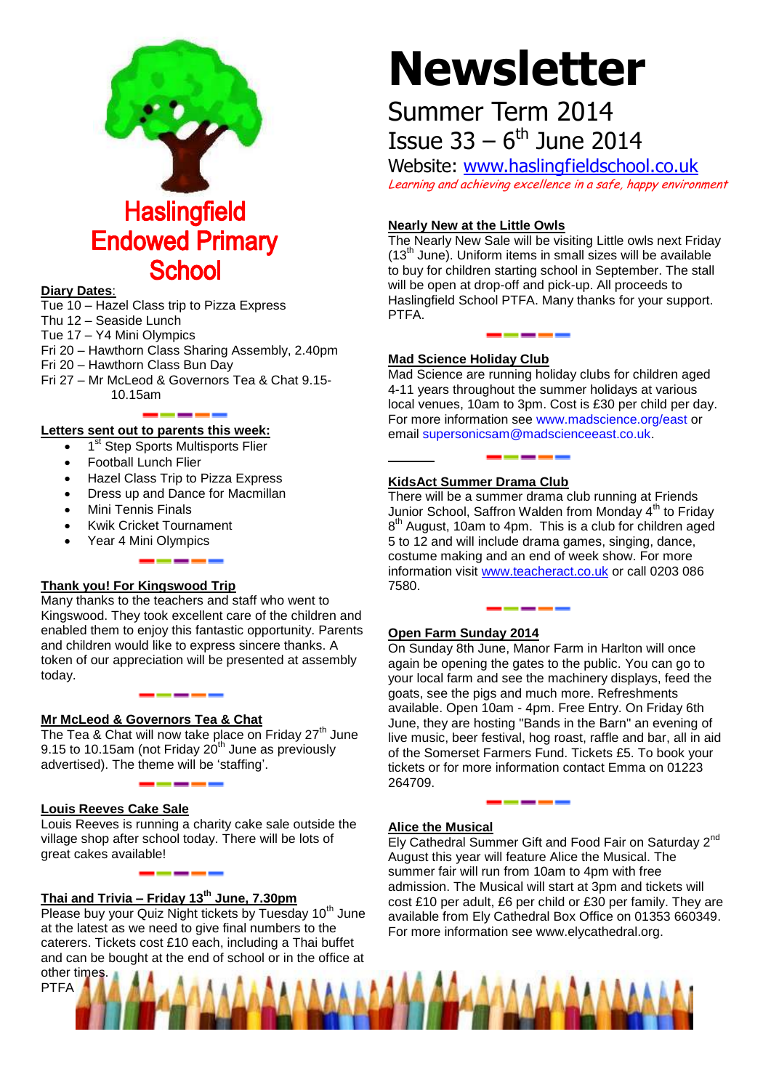

#### **Diary Dates**:

Tue 10 – Hazel Class trip to Pizza Express Thu 12 – Seaside Lunch Tue 17 – Y4 Mini Olympics Fri 20 – Hawthorn Class Sharing Assembly, 2.40pm Fri 20 – Hawthorn Class Bun Day Fri 27 – Mr McLeod & Governors Tea & Chat 9.15- 10.15am

**School** 

**Letters sent out to parents this week:**

- 1<sup>st</sup> Step Sports Multisports Flier
- Football Lunch Flier
- Hazel Class Trip to Pizza Express
- Dress up and Dance for Macmillan
- Mini Tennis Finals
- Kwik Cricket Tournament
- Year 4 Mini Olympics

#### **Thank you! For Kingswood Trip**

Many thanks to the teachers and staff who went to Kingswood. They took excellent care of the children and enabled them to enjoy this fantastic opportunity. Parents and children would like to express sincere thanks. A token of our appreciation will be presented at assembly today.

#### **Mr McLeod & Governors Tea & Chat**

The Tea & Chat will now take place on Friday 27<sup>th</sup> June 9.15 to 10.15am (not Friday  $20<sup>th</sup>$  June as previously advertised). The theme will be 'staffing'.

#### **Louis Reeves Cake Sale**

Louis Reeves is running a charity cake sale outside the village shop after school today. There will be lots of great cakes available!

### **Thai and Trivia – Friday 13th June, 7.30pm**

- - - -

Please buy your Quiz Night tickets by Tuesday 10<sup>th</sup> June at the latest as we need to give final numbers to the caterers. Tickets cost £10 each, including a Thai buffet and can be bought at the end of school or in the office at other times.

PTFA

# **Newsletter**

## Summer Term 2014 Issue  $33 - 6$ <sup>th</sup> June 2014

Website: [www.haslingfieldschool.co.uk](http://www.haslingfieldschool.co.uk/) Learning and achieving excellence in a safe, happy environment

#### **Nearly New at the Little Owls**

The Nearly New Sale will be visiting Little owls next Friday  $(13<sup>th</sup>$  June). Uniform items in small sizes will be available to buy for children starting school in September. The stall will be open at drop-off and pick-up. All proceeds to Haslingfield School PTFA. Many thanks for your support. PTFA.

#### **Mad Science Holiday Club**

Mad Science are running holiday clubs for children aged 4-11 years throughout the summer holidays at various local venues, 10am to 3pm. Cost is £30 per child per day. For more information see [www.madscience.org/east](http://www.madscience.org/east) or email [supersonicsam@madscienceeast.co.uk.](mailto:supersonicsam@madscienceeast.co.uk)

#### **KidsAct Summer Drama Club**

There will be a summer drama club running at Friends Junior School, Saffron Walden from Monday 4<sup>th</sup> to Friday 8<sup>th</sup> August, 10am to 4pm. This is a club for children aged 5 to 12 and will include drama games, singing, dance, costume making and an end of week show. For more information visit [www.teacheract.co.uk](http://www.teacheract.co.uk/) or call 0203 086 7580.

#### **Open Farm Sunday 2014**

On Sunday 8th June, Manor Farm in Harlton will once again be opening the gates to the public. You can go to your local farm and see the machinery displays, feed the goats, see the pigs and much more. Refreshments available. Open 10am - 4pm. Free Entry. On Friday 6th June, they are hosting "Bands in the Barn" an evening of live music, beer festival, hog roast, raffle and bar, all in aid of the Somerset Farmers Fund. Tickets £5. To book your tickets or for more information contact Emma on 01223 264709.

#### **Alice the Musical**

Ely Cathedral Summer Gift and Food Fair on Saturday 2<sup>nd</sup> August this year will feature Alice the Musical. The summer fair will run from 10am to 4pm with free admission. The Musical will start at 3pm and tickets will cost £10 per adult, £6 per child or £30 per family. They are available from Ely Cathedral Box Office on 01353 660349. For more information see www.elycathedral.org.